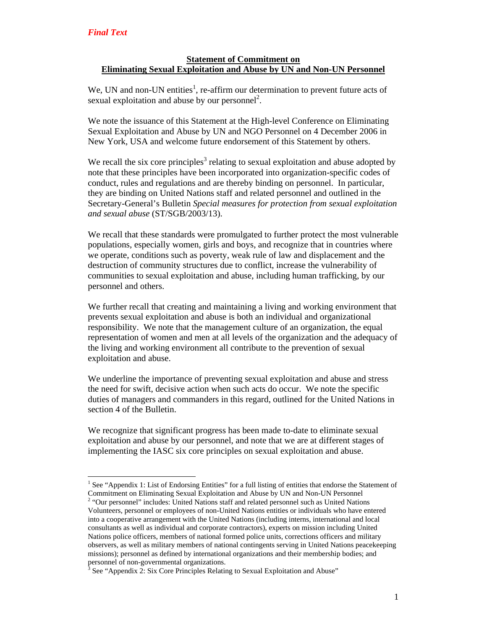$\overline{a}$ 

### **Statement of Commitment on Eliminating Sexual Exploitation and Abuse by UN and Non-UN Personnel**

We, UN and non-UN entities<sup>1</sup>, re-affirm our determination to prevent future acts of sexual exploitation and abuse by our personnel<sup>2</sup>.

We note the issuance of this Statement at the High-level Conference on Eliminating Sexual Exploitation and Abuse by UN and NGO Personnel on 4 December 2006 in New York, USA and welcome future endorsement of this Statement by others.

We recall the six core principles<sup>3</sup> relating to sexual exploitation and abuse adopted by note that these principles have been incorporated into organization-specific codes of conduct, rules and regulations and are thereby binding on personnel. In particular, they are binding on United Nations staff and related personnel and outlined in the Secretary-General's Bulletin *Special measures for protection from sexual exploitation and sexual abuse* (ST/SGB/2003/13).

We recall that these standards were promulgated to further protect the most vulnerable populations, especially women, girls and boys, and recognize that in countries where we operate, conditions such as poverty, weak rule of law and displacement and the destruction of community structures due to conflict, increase the vulnerability of communities to sexual exploitation and abuse, including human trafficking, by our personnel and others.

We further recall that creating and maintaining a living and working environment that prevents sexual exploitation and abuse is both an individual and organizational responsibility. We note that the management culture of an organization, the equal representation of women and men at all levels of the organization and the adequacy of the living and working environment all contribute to the prevention of sexual exploitation and abuse.

We underline the importance of preventing sexual exploitation and abuse and stress the need for swift, decisive action when such acts do occur. We note the specific duties of managers and commanders in this regard, outlined for the United Nations in section 4 of the Bulletin.

We recognize that significant progress has been made to-date to eliminate sexual exploitation and abuse by our personnel, and note that we are at different stages of implementing the IASC six core principles on sexual exploitation and abuse.

<sup>&</sup>lt;sup>1</sup> See "Appendix 1: List of Endorsing Entities" for a full listing of entities that endorse the Statement of Commitment on Eliminating Sexual Exploitation and Abuse by UN and Non-UN Personnel

<sup>&</sup>lt;sup>2</sup> "Our personnel" includes: United Nations staff and related personnel such as United Nations Volunteers, personnel or employees of non-United Nations entities or individuals who have entered into a cooperative arrangement with the United Nations (including interns, international and local consultants as well as individual and corporate contractors), experts on mission including United Nations police officers, members of national formed police units, corrections officers and military observers, as well as military members of national contingents serving in United Nations peacekeeping missions); personnel as defined by international organizations and their membership bodies; and personnel of non-governmental organizations.<br><sup>3</sup> See "Appendix 2: Six Core Principles Belatin

See "Appendix 2: Six Core Principles Relating to Sexual Exploitation and Abuse"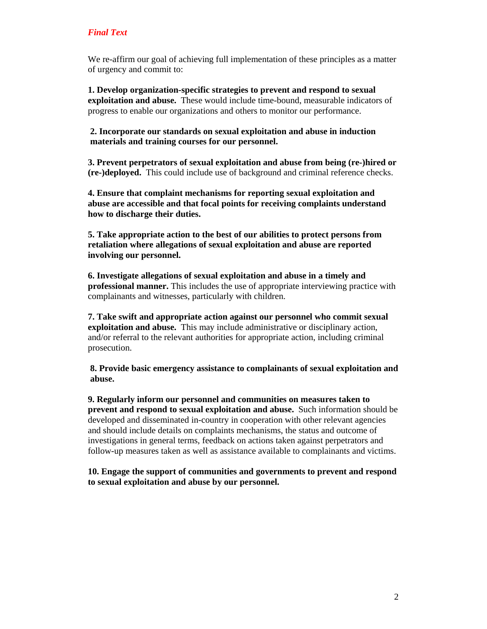We re-affirm our goal of achieving full implementation of these principles as a matter of urgency and commit to:

**1. Develop organization-specific strategies to prevent and respond to sexual exploitation and abuse.** These would include time-bound, measurable indicators of progress to enable our organizations and others to monitor our performance.

**2. Incorporate our standards on sexual exploitation and abuse in induction materials and training courses for our personnel.** 

**3. Prevent perpetrators of sexual exploitation and abuse from being (re-)hired or (re-)deployed.** This could include use of background and criminal reference checks.

**4. Ensure that complaint mechanisms for reporting sexual exploitation and abuse are accessible and that focal points for receiving complaints understand how to discharge their duties.** 

**5. Take appropriate action to the best of our abilities to protect persons from retaliation where allegations of sexual exploitation and abuse are reported involving our personnel.** 

**6. Investigate allegations of sexual exploitation and abuse in a timely and professional manner.** This includes the use of appropriate interviewing practice with complainants and witnesses, particularly with children.

**7. Take swift and appropriate action against our personnel who commit sexual exploitation and abuse.** This may include administrative or disciplinary action, and/or referral to the relevant authorities for appropriate action, including criminal prosecution.

**8. Provide basic emergency assistance to complainants of sexual exploitation and abuse.** 

**9. Regularly inform our personnel and communities on measures taken to prevent and respond to sexual exploitation and abuse.** Such information should be developed and disseminated in-country in cooperation with other relevant agencies and should include details on complaints mechanisms, the status and outcome of investigations in general terms, feedback on actions taken against perpetrators and follow-up measures taken as well as assistance available to complainants and victims.

**10. Engage the support of communities and governments to prevent and respond to sexual exploitation and abuse by our personnel.**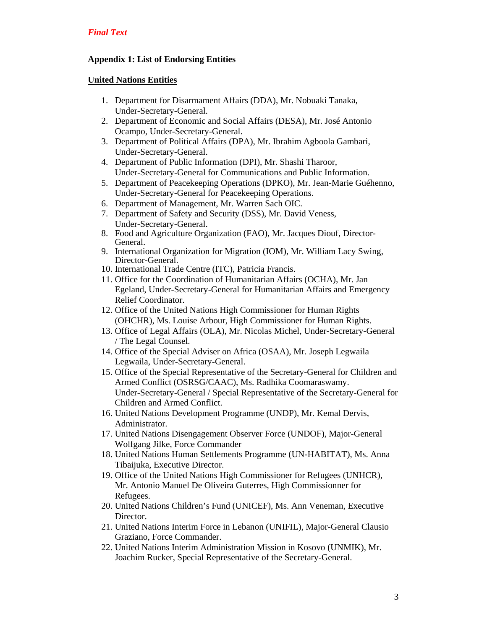## **Appendix 1: List of Endorsing Entities**

#### **United Nations Entities**

- 1. Department for Disarmament Affairs (DDA), Mr. Nobuaki Tanaka, Under-Secretary-General.
- 2. Department of Economic and Social Affairs (DESA), Mr. José Antonio Ocampo, Under-Secretary-General.
- 3. Department of Political Affairs (DPA), Mr. Ibrahim Agboola Gambari, Under-Secretary-General.
- 4. Department of Public Information (DPI), Mr. Shashi Tharoor, Under-Secretary-General for Communications and Public Information.
- 5. Department of Peacekeeping Operations (DPKO), Mr. Jean-Marie Guéhenno, Under-Secretary-General for Peacekeeping Operations.
- 6. Department of Management, Mr. Warren Sach OIC.
- 7. Department of Safety and Security (DSS), Mr. David Veness, Under-Secretary-General.
- 8. Food and Agriculture Organization (FAO), Mr. Jacques Diouf, Director-General.
- 9. International Organization for Migration (IOM), Mr. William Lacy Swing, Director-General.
- 10. International Trade Centre (ITC), Patricia Francis.
- 11. Office for the Coordination of Humanitarian Affairs (OCHA), Mr. Jan Egeland, Under-Secretary-General for Humanitarian Affairs and Emergency Relief Coordinator.
- 12. Office of the United Nations High Commissioner for Human Rights (OHCHR), Ms. Louise Arbour, High Commissioner for Human Rights.
- 13. Office of Legal Affairs (OLA), Mr. Nicolas Michel, Under-Secretary-General / The Legal Counsel.
- 14. Office of the Special Adviser on Africa (OSAA), Mr. Joseph Legwaila Legwaila, Under-Secretary-General.
- 15. Office of the Special Representative of the Secretary-General for Children and Armed Conflict (OSRSG/CAAC), Ms. Radhika Coomaraswamy. Under-Secretary-General / Special Representative of the Secretary-General for Children and Armed Conflict.
- 16. United Nations Development Programme (UNDP), Mr. Kemal Dervis, Administrator.
- 17. United Nations Disengagement Observer Force (UNDOF), Major-General Wolfgang Jilke, Force Commander
- 18. United Nations Human Settlements Programme (UN-HABITAT), Ms. Anna Tibaijuka, Executive Director.
- 19. Office of the United Nations High Commissioner for Refugees (UNHCR), Mr. Antonio Manuel De Oliveira Guterres, High Commissionner for Refugees.
- 20. United Nations Children's Fund (UNICEF), Ms. Ann Veneman, Executive Director.
- 21. United Nations Interim Force in Lebanon (UNIFIL), Major-General Clausio Graziano, Force Commander.
- 22. United Nations Interim Administration Mission in Kosovo (UNMIK), Mr. Joachim Rucker, Special Representative of the Secretary-General.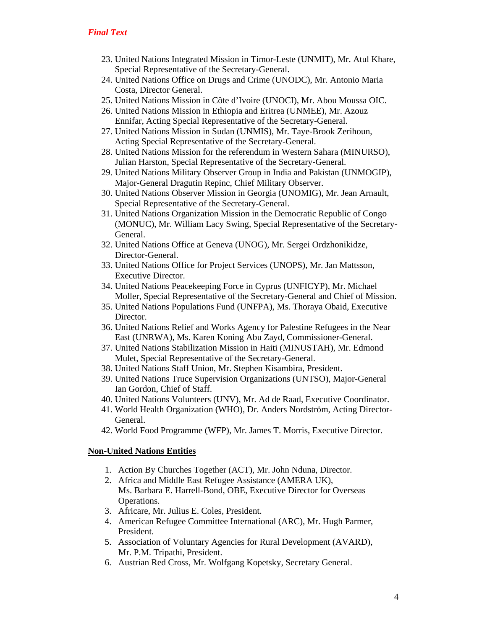- 23. United Nations Integrated Mission in Timor-Leste (UNMIT), Mr. Atul Khare, Special Representative of the Secretary-General.
- 24. United Nations Office on Drugs and Crime (UNODC), Mr. Antonio Maria Costa, Director General.
- 25. United Nations Mission in Côte d'Ivoire (UNOCI), Mr. Abou Moussa OIC.
- 26. United Nations Mission in Ethiopia and Eritrea (UNMEE), Mr. Azouz Ennifar, Acting Special Representative of the Secretary-General.
- 27. United Nations Mission in Sudan (UNMIS), Mr. Taye-Brook Zerihoun, Acting Special Representative of the Secretary-General.
- 28. United Nations Mission for the referendum in Western Sahara (MINURSO), Julian Harston, Special Representative of the Secretary-General.
- 29. United Nations Military Observer Group in India and Pakistan (UNMOGIP), Major-General Dragutin Repinc, Chief Military Observer.
- 30. United Nations Observer Mission in Georgia (UNOMIG), Mr. Jean Arnault, Special Representative of the Secretary-General.
- 31. United Nations Organization Mission in the Democratic Republic of Congo (MONUC), Mr. William Lacy Swing, Special Representative of the Secretary-General.
- 32. United Nations Office at Geneva (UNOG), Mr. Sergei Ordzhonikidze, Director-General.
- 33. United Nations Office for Project Services (UNOPS), Mr. Jan Mattsson, Executive Director.
- 34. United Nations Peacekeeping Force in Cyprus (UNFICYP), Mr. Michael Moller, Special Representative of the Secretary-General and Chief of Mission.
- 35. United Nations Populations Fund (UNFPA), Ms. Thoraya Obaid, Executive Director.
- 36. United Nations Relief and Works Agency for Palestine Refugees in the Near East (UNRWA), Ms. Karen Koning Abu Zayd, Commissioner-General.
- 37. United Nations Stabilization Mission in Haiti (MINUSTAH), Mr. Edmond Mulet, Special Representative of the Secretary-General.
- 38. United Nations Staff Union, Mr. Stephen Kisambira, President.
- 39. United Nations Truce Supervision Organizations (UNTSO), Major-General Ian Gordon, Chief of Staff.
- 40. United Nations Volunteers (UNV), Mr. Ad de Raad, Executive Coordinator.
- 41. World Health Organization (WHO), Dr. Anders Nordström, Acting Director-General.
- 42. World Food Programme (WFP), Mr. James T. Morris, Executive Director.

## **Non-United Nations Entities**

- 1. Action By Churches Together (ACT), Mr. John Nduna, Director.
- 2. Africa and Middle East Refugee Assistance (AMERA UK), Ms. Barbara E. Harrell-Bond, OBE, Executive Director for Overseas Operations.
- 3. Africare, Mr. Julius E. Coles, President.
- 4. American Refugee Committee International (ARC), Mr. Hugh Parmer, President.
- 5. Association of Voluntary Agencies for Rural Development (AVARD), Mr. P.M. Tripathi, President.
- 6. Austrian Red Cross, Mr. Wolfgang Kopetsky, Secretary General.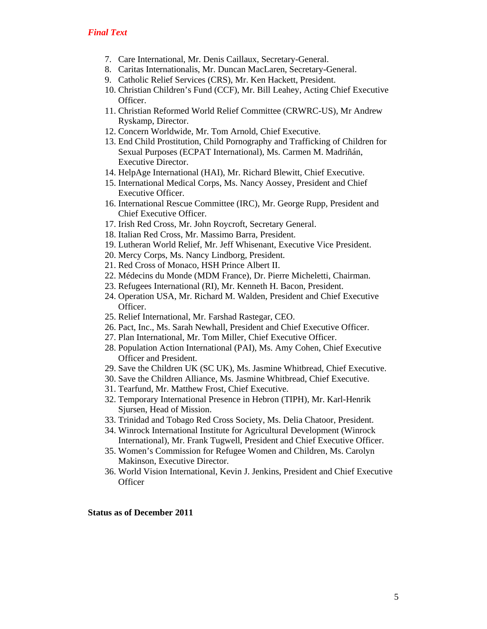- 7. Care International, Mr. Denis Caillaux, Secretary-General.
- 8. Caritas Internationalis, Mr. Duncan MacLaren, Secretary-General.
- 9. Catholic Relief Services (CRS), Mr. Ken Hackett, President.
- 10. Christian Children's Fund (CCF), Mr. Bill Leahey, Acting Chief Executive Officer.
- 11. Christian Reformed World Relief Committee (CRWRC-US), Mr Andrew Ryskamp, Director.
- 12. Concern Worldwide, Mr. Tom Arnold, Chief Executive.
- 13. End Child Prostitution, Child Pornography and Trafficking of Children for Sexual Purposes (ECPAT International), Ms. Carmen M. Madriñán, Executive Director.
- 14. HelpAge International (HAI), Mr. Richard Blewitt, Chief Executive.
- 15. International Medical Corps, Ms. Nancy Aossey, President and Chief Executive Officer.
- 16. International Rescue Committee (IRC), Mr. George Rupp, President and Chief Executive Officer.
- 17. Irish Red Cross, Mr. John Roycroft, Secretary General.
- 18. Italian Red Cross, Mr. Massimo Barra, President.
- 19. Lutheran World Relief, Mr. Jeff Whisenant, Executive Vice President.
- 20. Mercy Corps, Ms. Nancy Lindborg, President.
- 21. Red Cross of Monaco, HSH Prince Albert II.
- 22. Médecins du Monde (MDM France), Dr. Pierre Micheletti, Chairman.
- 23. Refugees International (RI), Mr. Kenneth H. Bacon, President.
- 24. Operation USA, Mr. Richard M. Walden, President and Chief Executive Officer.
- 25. Relief International, Mr. Farshad Rastegar, CEO.
- 26. Pact, Inc., Ms. Sarah Newhall, President and Chief Executive Officer.
- 27. Plan International, Mr. Tom Miller, Chief Executive Officer.
- 28. Population Action International (PAI), Ms. Amy Cohen, Chief Executive Officer and President.
- 29. Save the Children UK (SC UK), Ms. Jasmine Whitbread, Chief Executive.
- 30. Save the Children Alliance, Ms. Jasmine Whitbread, Chief Executive.
- 31. Tearfund, Mr. Matthew Frost, Chief Executive.
- 32. Temporary International Presence in Hebron (TIPH), Mr. Karl-Henrik Sjursen, Head of Mission.
- 33. Trinidad and Tobago Red Cross Society, Ms. Delia Chatoor, President.
- 34. Winrock International Institute for Agricultural Development (Winrock International), Mr. Frank Tugwell, President and Chief Executive Officer.
- 35. Women's Commission for Refugee Women and Children, Ms. Carolyn Makinson, Executive Director.
- 36. World Vision International, Kevin J. Jenkins, President and Chief Executive **Officer**

**Status as of December 2011**